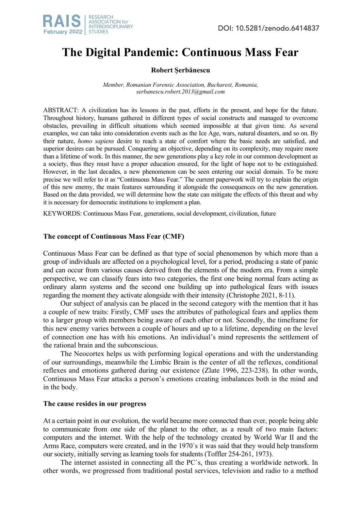

# **The Digital Pandemic: Continuous Mass Fear**

# **Robert Șerbănescu**

*Member, Romanian Forensic Association, Bucharest, Romania, serbanescu.robert.2013@gmail.com*

ABSTRACT: A civilization has its lessons in the past, efforts in the present, and hope for the future. Throughout history, humans gathered in different types of social constructs and managed to overcome obstacles, prevailing in difficult situations which seemed impossible at that given time. As several examples, we can take into consideration events such as the Ice Age, wars, natural disasters, and so on. By their nature, *homo sapiens* desire to reach a state of comfort where the basic needs are satisfied, and superior desires can be pursued. Conquering an objective, depending on its complexity, may require more than a lifetime of work. In this manner, the new generations play a key role in our common development as a society, thus they must have a proper education ensured, for the light of hope not to be extinguished. However, in the last decades, a new phenomenon can be seen entering our social domain. To be more precise we will refer to it as "Continuous Mass Fear." The current paperwork will try to explain the origin of this new enemy, the main features surrounding it alongside the consequences on the new generation. Based on the data provided, we will determine how the state can mitigate the effects of this threat and why it is necessary for democratic institutions to implement a plan.

KEYWORDS: Continuous Mass Fear, generations, social development, civilization, future

## **The concept of Continuous Mass Fear (CMF)**

Continuous Mass Fear can be defined as that type of social phenomenon by which more than a group of individuals are affected on a psychological level, for a period, producing a state of panic and can occur from various causes derived from the elements of the modern era. From a simple perspective, we can classify fears into two categories, the first one being normal fears acting as ordinary alarm systems and the second one building up into pathological fears with issues regarding the moment they activate alongside with their intensity (Christophe 2021, 8-11).

Our subject of analysis can be placed in the second category with the mention that it has a couple of new traits: Firstly, CMF uses the attributes of pathological fears and applies them to a larger group with members being aware of each other or not. Secondly, the timeframe for this new enemy varies between a couple of hours and up to a lifetime, depending on the level of connection one has with his emotions. An individual's mind represents the settlement of the rational brain and the subconscious.

The Neocortex helps us with performing logical operations and with the understanding of our surroundings, meanwhile the Limbic Brain is the center of all the reflexes, conditional reflexes and emotions gathered during our existence (Zlate 1996, 223-238). In other words, Continuous Mass Fear attacks a person's emotions creating imbalances both in the mind and in the body.

## **The cause resides in our progress**

At a certain point in our evolution, the world became more connected than ever, people being able to communicate from one side of the planet to the other, as a result of two main factors: computers and the internet. With the help of the technology created by World War II and the Arms Race, computers were created, and in the 1970`s it was said that they would help transform our society, initially serving as learning tools for students (Toffler 254-261, 1973).

The internet assisted in connecting all the PC`s, thus creating a worldwide network. In other words, we progressed from traditional postal services, television and radio to a method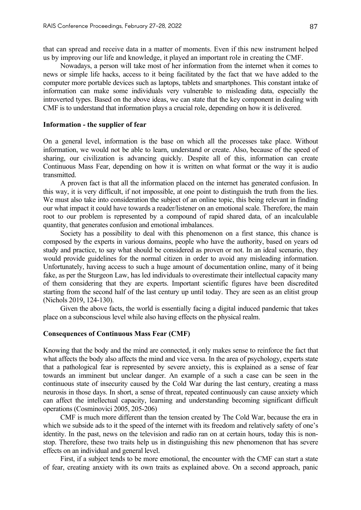that can spread and receive data in a matter of moments. Even if this new instrument helped us by improving our life and knowledge, it played an important role in creating the CMF.

Nowadays, a person will take most of her information from the internet when it comes to news or simple life hacks, access to it being facilitated by the fact that we have added to the computer more portable devices such as laptops, tablets and smartphones. This constant intake of information can make some individuals very vulnerable to misleading data, especially the introverted types. Based on the above ideas, we can state that the key component in dealing with CMF is to understand that information plays a crucial role, depending on how it is delivered.

## **Information - the supplier of fear**

On a general level, information is the base on which all the processes take place. Without information, we would not be able to learn, understand or create. Also, because of the speed of sharing, our civilization is advancing quickly. Despite all of this, information can create Continuous Mass Fear, depending on how it is written on what format or the way it is audio transmitted.

A proven fact is that all the information placed on the internet has generated confusion. In this way, it is very difficult, if not impossible, at one point to distinguish the truth from the lies. We must also take into consideration the subject of an online topic, this being relevant in finding our what impact it could have towards a reader/listener on an emotional scale. Therefore, the main root to our problem is represented by a compound of rapid shared data, of an incalculable quantity, that generates confusion and emotional imbalances.

Society has a possibility to deal with this phenomenon on a first stance, this chance is composed by the experts in various domains, people who have the authority, based on years od study and practice, to say what should be considered as proven or not. In an ideal scenario, they would provide guidelines for the normal citizen in order to avoid any misleading information. Unfortunately, having access to such a huge amount of documentation online, many of it being fake, as per the Sturgeon Law, has led individuals to overestimate their intellectual capacity many of them considering that they are experts. Important scientific figures have been discredited starting from the second half of the last century up until today. They are seen as an elitist group (Nichols 2019, 124-130).

Given the above facts, the world is essentially facing a digital induced pandemic that takes place on a subconscious level while also having effects on the physical realm.

## **Consequences of Continuous Mass Fear (CMF)**

Knowing that the body and the mind are connected, it only makes sense to reinforce the fact that what affects the body also affects the mind and vice versa. In the area of psychology, experts state that a pathological fear is represented by severe anxiety, this is explained as a sense of fear towards an imminent but unclear danger. An example of a such a case can be seen in the continuous state of insecurity caused by the Cold War during the last century, creating a mass neurosis in those days. In short, a sense of threat, repeated continuously can cause anxiety which can affect the intellectual capacity, learning and understanding becoming significant difficult operations (Cosminovici 2005, 205-206)

CMF is much more different than the tension created by The Cold War, because the era in which we subside ads to it the speed of the internet with its freedom and relatively safety of one's identity. In the past, news on the television and radio ran on at certain hours, today this is nonstop. Therefore, these two traits help us in distinguishing this new phenomenon that has severe effects on an individual and general level.

First, if a subject tends to be more emotional, the encounter with the CMF can start a state of fear, creating anxiety with its own traits as explained above. On a second approach, panic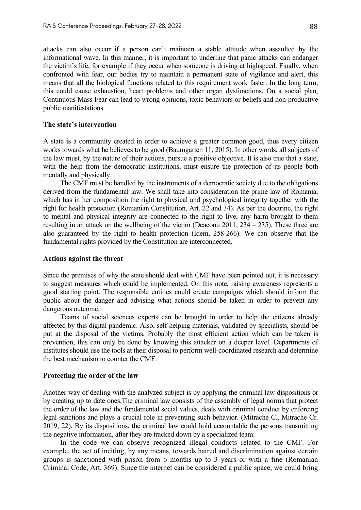attacks can also occur if a person can`t maintain a stable attitude when assaulted by the informational wave. In this manner, it is important to underline that panic attacks can endanger the victim's life, for example if they occur when someone is driving at highspeed. Finally, when confronted with fear, our bodies try to maintain a permanent state of vigilance and alert, this means that all the biological functions related to this requirement work faster. In the long term, this could cause exhaustion, heart problems and other organ dysfunctions. On a social plan, Continuous Mass Fear can lead to wrong opinions, toxic behaviors or beliefs and non-productive public manifestations.

## **The state's intervention**

A state is a community created in order to achieve a greater common good, thus every citizen works towards what he believes to be good (Baumgarten 11, 2015). In other words, all subjects of the law must, by the nature of their actions, pursue a positive objective. It is also true that a state, with the help from the democratic institutions, must ensure the protection of its people both mentally and physically.

The CMF must be handled by the instruments of a democratic society due to the obligations derived from the fundamental law. We shall take into consideration the prime law of Romania, which has in her composition the right to physical and psychological integrity together with the right for health protection (Romanian Constitution, Art. 22 and 34). As per the doctrine, the right to mental and physical integrity are connected to the right to live, any harm brought to them resulting in an attack on the wellbeing of the victim (Deaconu 2011, 234 – 235). These three are also guaranteed by the right to health protection (Idem, 258-266). We can observe that the fundamental rights provided by the Constitution are interconnected.

## **Actions against the threat**

Since the premises of why the state should deal with CMF have been pointed out, it is necessary to suggest measures which could be implemented. On this note, raising awareness represents a good starting point. The responsible entities could create campaigns which should inform the public about the danger and advising what actions should be taken in order to prevent any dangerous outcome.

Teams of social sciences experts can be brought in order to help the citizens already affected by this digital pandemic. Also, self-helping materials, validated by specialists, should be put at the disposal of the victims. Probably the most efficient action which can be taken is prevention, this can only be done by knowing this attacker on a deeper level. Departments of institutes should use the tools at their disposal to perform well-coordinated research and determine the best mechanism to counter the CMF.

### **Protecting the order of the law**

Another way of dealing with the analyzed subject is by applying the criminal law dispositions or by creating up to date ones.The criminal law consists of the assembly of legal norms that protect the order of the law and the fundamental social values, deals with criminal conduct by enforcing legal sanctions and plays a crucial role in preventing such behavior. (Mitrache C., Mitrache Cr. 2019, 22). By its dispositions, the criminal law could hold accountable the persons transmitting the negative information, after they are tracked down by a specialized team.

In the code we can observe recognized illegal conducts related to the CMF. For example, the act of inciting, by any means, towards hatred and discrimination against certain groups is sanctioned with prison from 6 months up to 3 years or with a fine (Romanian Criminal Code, Art. 369). Since the internet can be considered a public space, we could bring